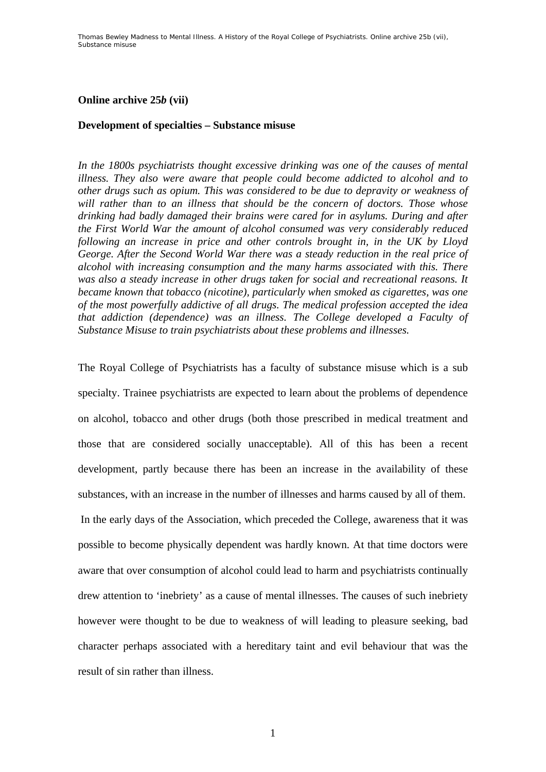## **Online archive 25***b* **(vii)**

## **Development of specialties – Substance misuse**

*In the 1800s psychiatrists thought excessive drinking was one of the causes of mental illness. They also were aware that people could become addicted to alcohol and to other drugs such as opium. This was considered to be due to depravity or weakness of will rather than to an illness that should be the concern of doctors. Those whose drinking had badly damaged their brains were cared for in asylums. During and after the First World War the amount of alcohol consumed was very considerably reduced following an increase in price and other controls brought in, in the UK by Lloyd George. After the Second World War there was a steady reduction in the real price of alcohol with increasing consumption and the many harms associated with this. There was also a steady increase in other drugs taken for social and recreational reasons. It became known that tobacco (nicotine), particularly when smoked as cigarettes, was one of the most powerfully addictive of all drugs. The medical profession accepted the idea that addiction (dependence) was an illness. The College developed a Faculty of Substance Misuse to train psychiatrists about these problems and illnesses.* 

The Royal College of Psychiatrists has a faculty of substance misuse which is a sub specialty. Trainee psychiatrists are expected to learn about the problems of dependence on alcohol, tobacco and other drugs (both those prescribed in medical treatment and those that are considered socially unacceptable). All of this has been a recent development, partly because there has been an increase in the availability of these substances, with an increase in the number of illnesses and harms caused by all of them. In the early days of the Association, which preceded the College, awareness that it was possible to become physically dependent was hardly known. At that time doctors were aware that over consumption of alcohol could lead to harm and psychiatrists continually drew attention to 'inebriety' as a cause of mental illnesses. The causes of such inebriety however were thought to be due to weakness of will leading to pleasure seeking, bad character perhaps associated with a hereditary taint and evil behaviour that was the result of sin rather than illness.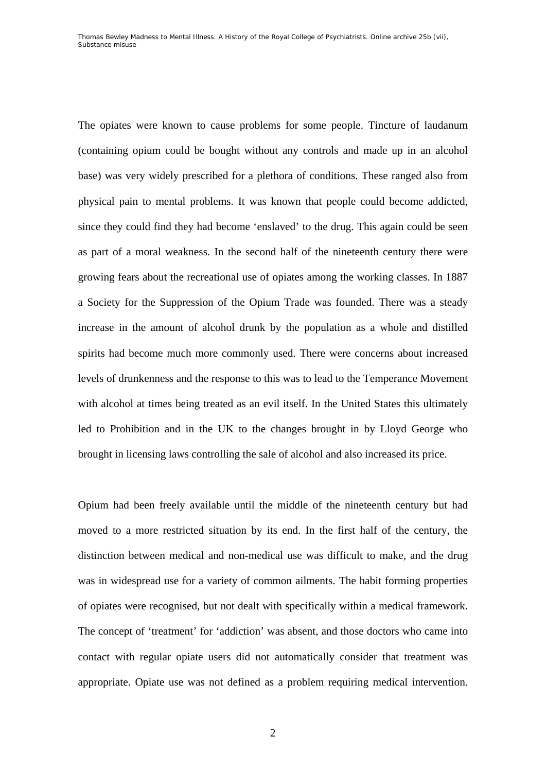The opiates were known to cause problems for some people. Tincture of laudanum (containing opium could be bought without any controls and made up in an alcohol base) was very widely prescribed for a plethora of conditions. These ranged also from physical pain to mental problems. It was known that people could become addicted, since they could find they had become 'enslaved' to the drug. This again could be seen as part of a moral weakness. In the second half of the nineteenth century there were growing fears about the recreational use of opiates among the working classes. In 1887 a Society for the Suppression of the Opium Trade was founded. There was a steady increase in the amount of alcohol drunk by the population as a whole and distilled spirits had become much more commonly used. There were concerns about increased levels of drunkenness and the response to this was to lead to the Temperance Movement with alcohol at times being treated as an evil itself. In the United States this ultimately led to Prohibition and in the UK to the changes brought in by Lloyd George who brought in licensing laws controlling the sale of alcohol and also increased its price.

Opium had been freely available until the middle of the nineteenth century but had moved to a more restricted situation by its end. In the first half of the century, the distinction between medical and non-medical use was difficult to make, and the drug was in widespread use for a variety of common ailments. The habit forming properties of opiates were recognised, but not dealt with specifically within a medical framework. The concept of 'treatment' for 'addiction' was absent, and those doctors who came into contact with regular opiate users did not automatically consider that treatment was appropriate. Opiate use was not defined as a problem requiring medical intervention.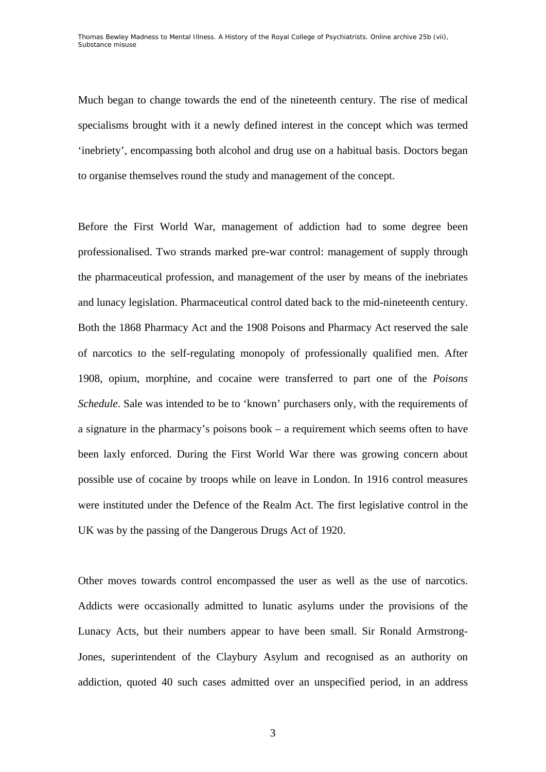Much began to change towards the end of the nineteenth century. The rise of medical specialisms brought with it a newly defined interest in the concept which was termed 'inebriety', encompassing both alcohol and drug use on a habitual basis. Doctors began to organise themselves round the study and management of the concept.

Before the First World War, management of addiction had to some degree been professionalised. Two strands marked pre-war control: management of supply through the pharmaceutical profession, and management of the user by means of the inebriates and lunacy legislation. Pharmaceutical control dated back to the mid-nineteenth century. Both the 1868 Pharmacy Act and the 1908 Poisons and Pharmacy Act reserved the sale of narcotics to the self-regulating monopoly of professionally qualified men. After 1908, opium, morphine, and cocaine were transferred to part one of the *Poisons Schedule*. Sale was intended to be to 'known' purchasers only, with the requirements of a signature in the pharmacy's poisons book – a requirement which seems often to have been laxly enforced. During the First World War there was growing concern about possible use of cocaine by troops while on leave in London. In 1916 control measures were instituted under the Defence of the Realm Act. The first legislative control in the UK was by the passing of the Dangerous Drugs Act of 1920.

Other moves towards control encompassed the user as well as the use of narcotics. Addicts were occasionally admitted to lunatic asylums under the provisions of the Lunacy Acts, but their numbers appear to have been small. Sir Ronald Armstrong-Jones, superintendent of the Claybury Asylum and recognised as an authority on addiction, quoted 40 such cases admitted over an unspecified period, in an address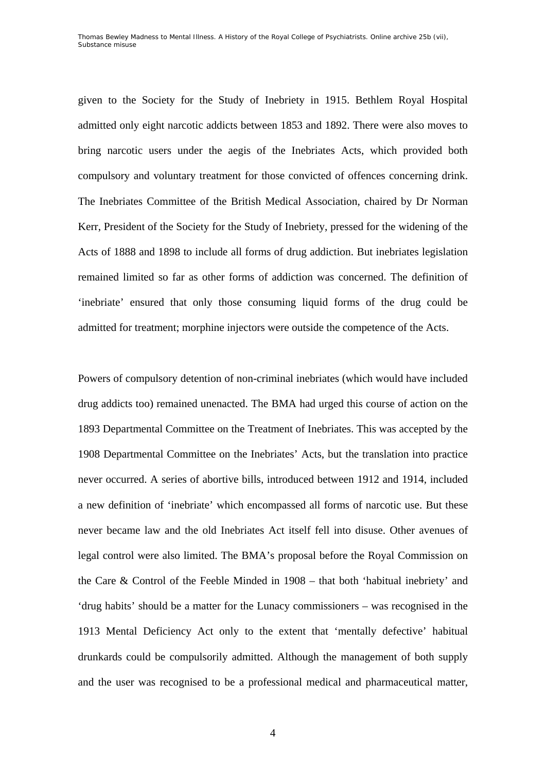given to the Society for the Study of Inebriety in 1915. Bethlem Royal Hospital admitted only eight narcotic addicts between 1853 and 1892. There were also moves to bring narcotic users under the aegis of the Inebriates Acts, which provided both compulsory and voluntary treatment for those convicted of offences concerning drink. The Inebriates Committee of the British Medical Association, chaired by Dr Norman Kerr, President of the Society for the Study of Inebriety, pressed for the widening of the Acts of 1888 and 1898 to include all forms of drug addiction. But inebriates legislation remained limited so far as other forms of addiction was concerned. The definition of 'inebriate' ensured that only those consuming liquid forms of the drug could be admitted for treatment; morphine injectors were outside the competence of the Acts.

Powers of compulsory detention of non-criminal inebriates (which would have included drug addicts too) remained unenacted. The BMA had urged this course of action on the 1893 Departmental Committee on the Treatment of Inebriates. This was accepted by the 1908 Departmental Committee on the Inebriates' Acts, but the translation into practice never occurred. A series of abortive bills, introduced between 1912 and 1914, included a new definition of 'inebriate' which encompassed all forms of narcotic use. But these never became law and the old Inebriates Act itself fell into disuse. Other avenues of legal control were also limited. The BMA's proposal before the Royal Commission on the Care & Control of the Feeble Minded in 1908 – that both 'habitual inebriety' and 'drug habits' should be a matter for the Lunacy commissioners – was recognised in the 1913 Mental Deficiency Act only to the extent that 'mentally defective' habitual drunkards could be compulsorily admitted. Although the management of both supply and the user was recognised to be a professional medical and pharmaceutical matter,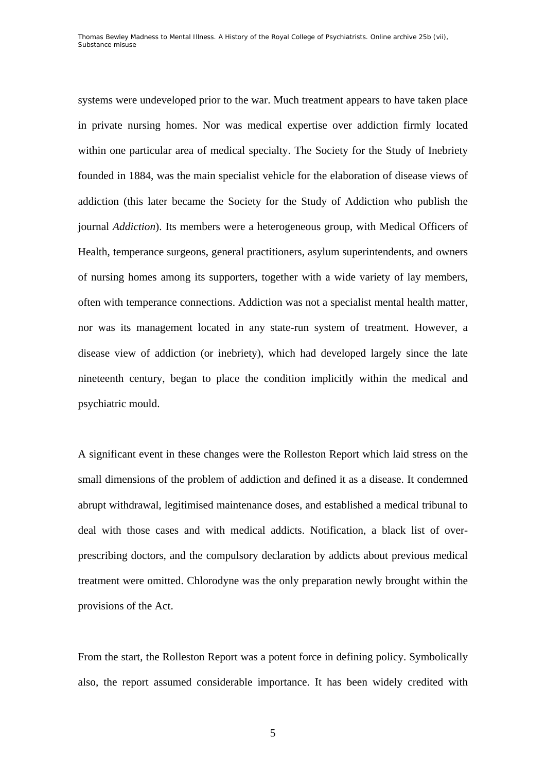systems were undeveloped prior to the war. Much treatment appears to have taken place in private nursing homes. Nor was medical expertise over addiction firmly located within one particular area of medical specialty. The Society for the Study of Inebriety founded in 1884, was the main specialist vehicle for the elaboration of disease views of addiction (this later became the Society for the Study of Addiction who publish the journal *Addiction*). Its members were a heterogeneous group, with Medical Officers of Health, temperance surgeons, general practitioners, asylum superintendents, and owners of nursing homes among its supporters, together with a wide variety of lay members, often with temperance connections. Addiction was not a specialist mental health matter, nor was its management located in any state-run system of treatment. However, a disease view of addiction (or inebriety), which had developed largely since the late nineteenth century, began to place the condition implicitly within the medical and psychiatric mould.

A significant event in these changes were the Rolleston Report which laid stress on the small dimensions of the problem of addiction and defined it as a disease. It condemned abrupt withdrawal, legitimised maintenance doses, and established a medical tribunal to deal with those cases and with medical addicts. Notification, a black list of overprescribing doctors, and the compulsory declaration by addicts about previous medical treatment were omitted. Chlorodyne was the only preparation newly brought within the provisions of the Act.

From the start, the Rolleston Report was a potent force in defining policy. Symbolically also, the report assumed considerable importance. It has been widely credited with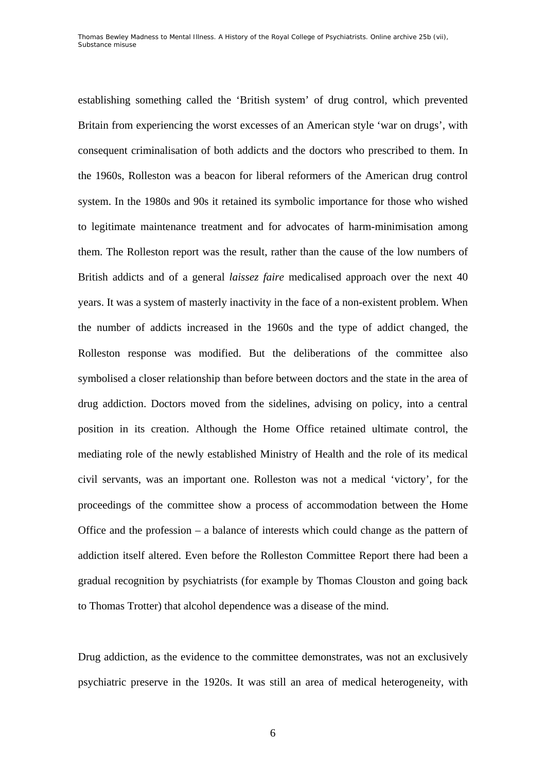establishing something called the 'British system' of drug control, which prevented Britain from experiencing the worst excesses of an American style 'war on drugs', with consequent criminalisation of both addicts and the doctors who prescribed to them. In the 1960s, Rolleston was a beacon for liberal reformers of the American drug control system. In the 1980s and 90s it retained its symbolic importance for those who wished to legitimate maintenance treatment and for advocates of harm-minimisation among them. The Rolleston report was the result, rather than the cause of the low numbers of British addicts and of a general *laissez faire* medicalised approach over the next 40 years. It was a system of masterly inactivity in the face of a non-existent problem. When the number of addicts increased in the 1960s and the type of addict changed, the Rolleston response was modified. But the deliberations of the committee also symbolised a closer relationship than before between doctors and the state in the area of drug addiction. Doctors moved from the sidelines, advising on policy, into a central position in its creation. Although the Home Office retained ultimate control, the mediating role of the newly established Ministry of Health and the role of its medical civil servants, was an important one. Rolleston was not a medical 'victory', for the proceedings of the committee show a process of accommodation between the Home Office and the profession – a balance of interests which could change as the pattern of addiction itself altered. Even before the Rolleston Committee Report there had been a gradual recognition by psychiatrists (for example by Thomas Clouston and going back to Thomas Trotter) that alcohol dependence was a disease of the mind.

Drug addiction, as the evidence to the committee demonstrates, was not an exclusively psychiatric preserve in the 1920s. It was still an area of medical heterogeneity, with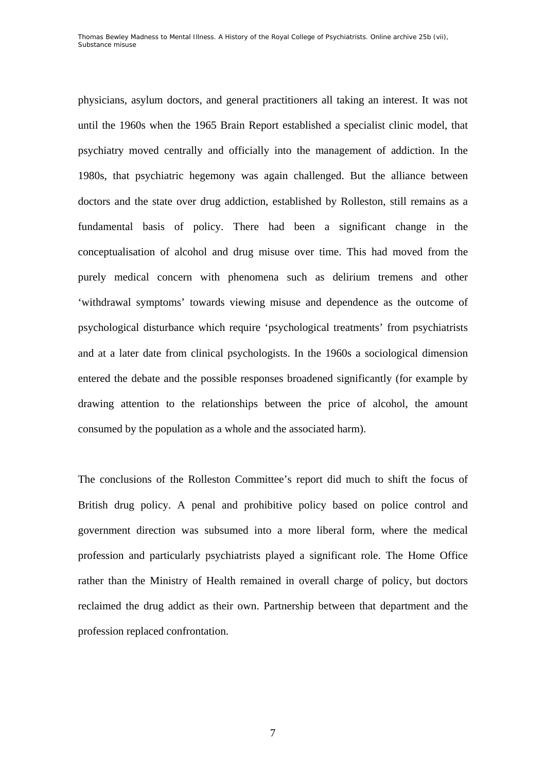physicians, asylum doctors, and general practitioners all taking an interest. It was not until the 1960s when the 1965 Brain Report established a specialist clinic model, that psychiatry moved centrally and officially into the management of addiction. In the 1980s, that psychiatric hegemony was again challenged. But the alliance between doctors and the state over drug addiction, established by Rolleston, still remains as a fundamental basis of policy. There had been a significant change in the conceptualisation of alcohol and drug misuse over time. This had moved from the purely medical concern with phenomena such as delirium tremens and other 'withdrawal symptoms' towards viewing misuse and dependence as the outcome of psychological disturbance which require 'psychological treatments' from psychiatrists and at a later date from clinical psychologists. In the 1960s a sociological dimension entered the debate and the possible responses broadened significantly (for example by drawing attention to the relationships between the price of alcohol, the amount consumed by the population as a whole and the associated harm).

The conclusions of the Rolleston Committee's report did much to shift the focus of British drug policy. A penal and prohibitive policy based on police control and government direction was subsumed into a more liberal form, where the medical profession and particularly psychiatrists played a significant role. The Home Office rather than the Ministry of Health remained in overall charge of policy, but doctors reclaimed the drug addict as their own. Partnership between that department and the profession replaced confrontation.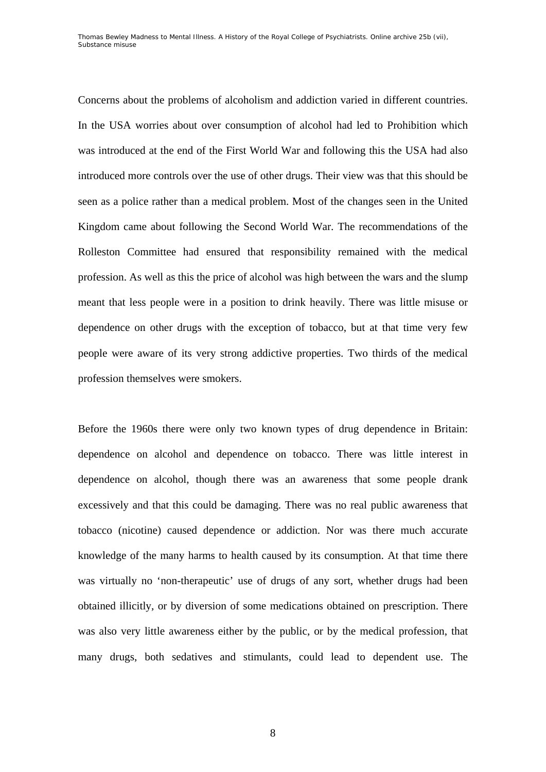Concerns about the problems of alcoholism and addiction varied in different countries. In the USA worries about over consumption of alcohol had led to Prohibition which was introduced at the end of the First World War and following this the USA had also introduced more controls over the use of other drugs. Their view was that this should be seen as a police rather than a medical problem. Most of the changes seen in the United Kingdom came about following the Second World War. The recommendations of the Rolleston Committee had ensured that responsibility remained with the medical profession. As well as this the price of alcohol was high between the wars and the slump meant that less people were in a position to drink heavily. There was little misuse or dependence on other drugs with the exception of tobacco, but at that time very few people were aware of its very strong addictive properties. Two thirds of the medical profession themselves were smokers.

Before the 1960s there were only two known types of drug dependence in Britain: dependence on alcohol and dependence on tobacco. There was little interest in dependence on alcohol, though there was an awareness that some people drank excessively and that this could be damaging. There was no real public awareness that tobacco (nicotine) caused dependence or addiction. Nor was there much accurate knowledge of the many harms to health caused by its consumption. At that time there was virtually no 'non-therapeutic' use of drugs of any sort, whether drugs had been obtained illicitly, or by diversion of some medications obtained on prescription. There was also very little awareness either by the public, or by the medical profession, that many drugs, both sedatives and stimulants, could lead to dependent use. The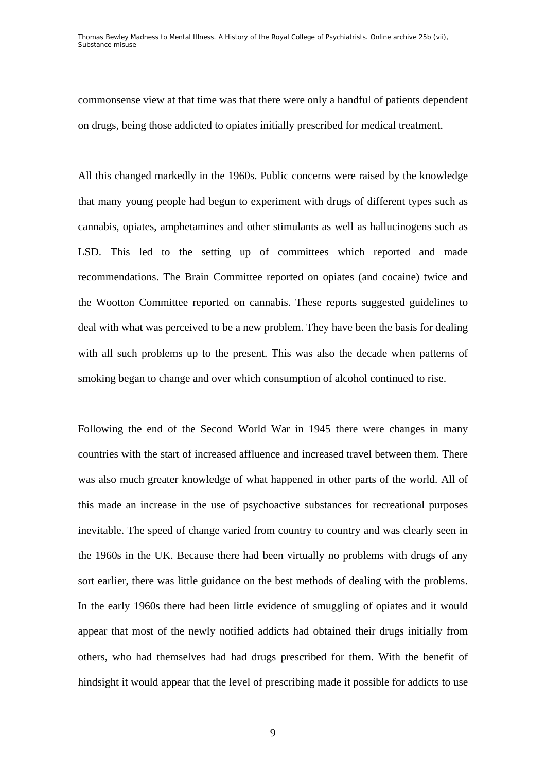Thomas Bewley *Madness to Mental Illness. A History of the Royal College of Psychiatrists*. Online archive 25*b* (vii), *Substance misuse* 

commonsense view at that time was that there were only a handful of patients dependent on drugs, being those addicted to opiates initially prescribed for medical treatment.

All this changed markedly in the 1960s. Public concerns were raised by the knowledge that many young people had begun to experiment with drugs of different types such as cannabis, opiates, amphetamines and other stimulants as well as hallucinogens such as LSD. This led to the setting up of committees which reported and made recommendations. The Brain Committee reported on opiates (and cocaine) twice and the Wootton Committee reported on cannabis. These reports suggested guidelines to deal with what was perceived to be a new problem. They have been the basis for dealing with all such problems up to the present. This was also the decade when patterns of smoking began to change and over which consumption of alcohol continued to rise.

Following the end of the Second World War in 1945 there were changes in many countries with the start of increased affluence and increased travel between them. There was also much greater knowledge of what happened in other parts of the world. All of this made an increase in the use of psychoactive substances for recreational purposes inevitable. The speed of change varied from country to country and was clearly seen in the 1960s in the UK. Because there had been virtually no problems with drugs of any sort earlier, there was little guidance on the best methods of dealing with the problems. In the early 1960s there had been little evidence of smuggling of opiates and it would appear that most of the newly notified addicts had obtained their drugs initially from others, who had themselves had had drugs prescribed for them. With the benefit of hindsight it would appear that the level of prescribing made it possible for addicts to use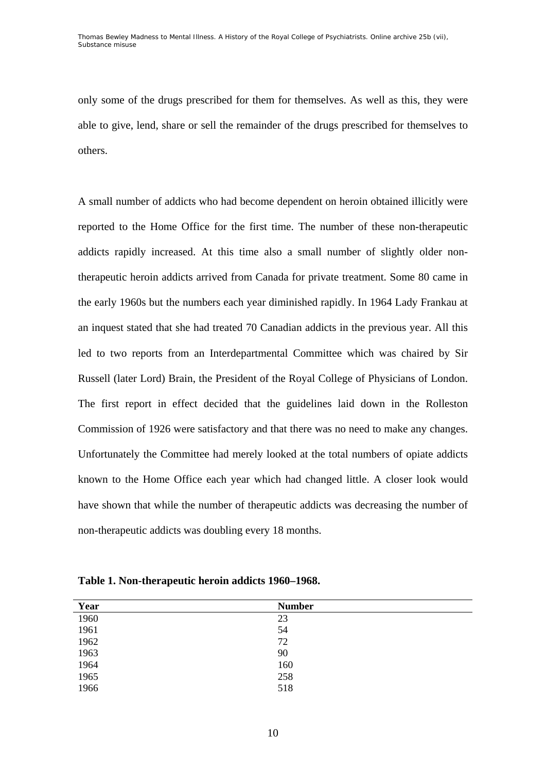only some of the drugs prescribed for them for themselves. As well as this, they were able to give, lend, share or sell the remainder of the drugs prescribed for themselves to others.

A small number of addicts who had become dependent on heroin obtained illicitly were reported to the Home Office for the first time. The number of these non-therapeutic addicts rapidly increased. At this time also a small number of slightly older nontherapeutic heroin addicts arrived from Canada for private treatment. Some 80 came in the early 1960s but the numbers each year diminished rapidly. In 1964 Lady Frankau at an inquest stated that she had treated 70 Canadian addicts in the previous year. All this led to two reports from an Interdepartmental Committee which was chaired by Sir Russell (later Lord) Brain, the President of the Royal College of Physicians of London. The first report in effect decided that the guidelines laid down in the Rolleston Commission of 1926 were satisfactory and that there was no need to make any changes. Unfortunately the Committee had merely looked at the total numbers of opiate addicts known to the Home Office each year which had changed little. A closer look would have shown that while the number of therapeutic addicts was decreasing the number of non-therapeutic addicts was doubling every 18 months.

| Year | <b>Number</b> |
|------|---------------|
| 1960 | 23            |
| 1961 | 54            |
| 1962 | 72            |
| 1963 | 90            |
| 1964 | 160           |
| 1965 | 258           |
| 1966 | 518           |

**Table 1. Non-therapeutic heroin addicts 1960–1968.**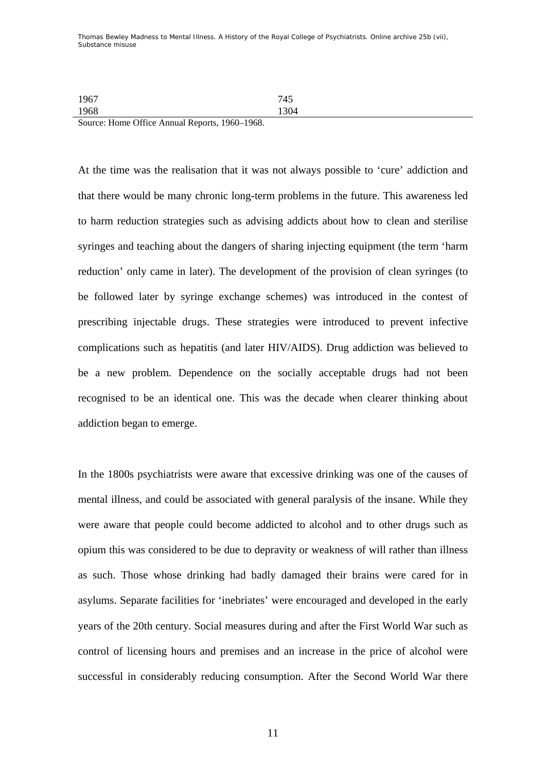Thomas Bewley *Madness to Mental Illness. A History of the Royal College of Psychiatrists*. Online archive 25*b* (vii), *Substance misuse* 

1967 745 1968 1304

Source: Home Office Annual Reports, 1960–1968.

At the time was the realisation that it was not always possible to 'cure' addiction and that there would be many chronic long-term problems in the future. This awareness led to harm reduction strategies such as advising addicts about how to clean and sterilise syringes and teaching about the dangers of sharing injecting equipment (the term 'harm reduction' only came in later). The development of the provision of clean syringes (to be followed later by syringe exchange schemes) was introduced in the contest of prescribing injectable drugs. These strategies were introduced to prevent infective complications such as hepatitis (and later HIV/AIDS). Drug addiction was believed to be a new problem. Dependence on the socially acceptable drugs had not been recognised to be an identical one. This was the decade when clearer thinking about addiction began to emerge.

In the 1800s psychiatrists were aware that excessive drinking was one of the causes of mental illness, and could be associated with general paralysis of the insane. While they were aware that people could become addicted to alcohol and to other drugs such as opium this was considered to be due to depravity or weakness of will rather than illness as such. Those whose drinking had badly damaged their brains were cared for in asylums. Separate facilities for 'inebriates' were encouraged and developed in the early years of the 20th century. Social measures during and after the First World War such as control of licensing hours and premises and an increase in the price of alcohol were successful in considerably reducing consumption. After the Second World War there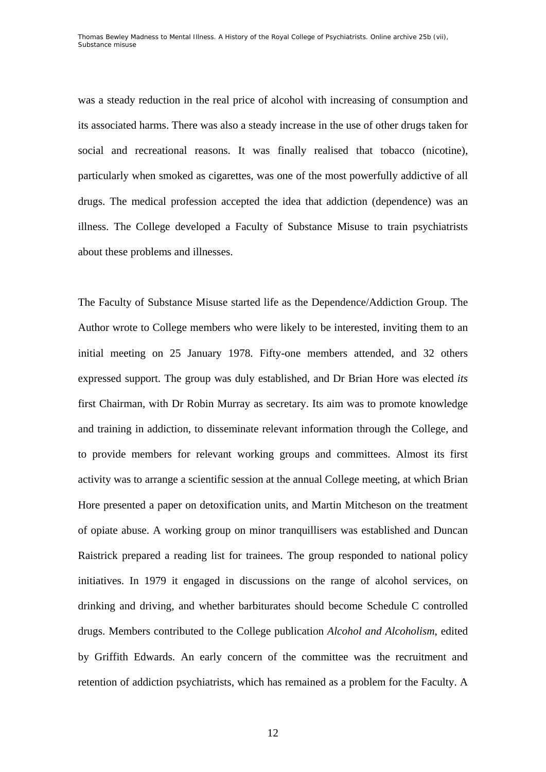Thomas Bewley *Madness to Mental Illness. A History of the Royal College of Psychiatrists*. Online archive 25*b* (vii), *Substance misuse* 

was a steady reduction in the real price of alcohol with increasing of consumption and its associated harms. There was also a steady increase in the use of other drugs taken for social and recreational reasons. It was finally realised that tobacco (nicotine), particularly when smoked as cigarettes, was one of the most powerfully addictive of all drugs. The medical profession accepted the idea that addiction (dependence) was an illness. The College developed a Faculty of Substance Misuse to train psychiatrists about these problems and illnesses.

The Faculty of Substance Misuse started life as the Dependence/Addiction Group. The Author wrote to College members who were likely to be interested, inviting them to an initial meeting on 25 January 1978. Fifty-one members attended, and 32 others expressed support. The group was duly established, and Dr Brian Hore was elected *its*  first Chairman, with Dr Robin Murray as secretary. Its aim was to promote knowledge and training in addiction, to disseminate relevant information through the College, and to provide members for relevant working groups and committees. Almost its first activity was to arrange a scientific session at the annual College meeting, at which Brian Hore presented a paper on detoxification units, and Martin Mitcheson on the treatment of opiate abuse. A working group on minor tranquillisers was established and Duncan Raistrick prepared a reading list for trainees. The group responded to national policy initiatives. In 1979 it engaged in discussions on the range of alcohol services, on drinking and driving, and whether barbiturates should become Schedule C controlled drugs. Members contributed to the College publication *Alcohol and Alcoholism*, edited by Griffith Edwards. An early concern of the committee was the recruitment and retention of addiction psychiatrists, which has remained as a problem for the Faculty. A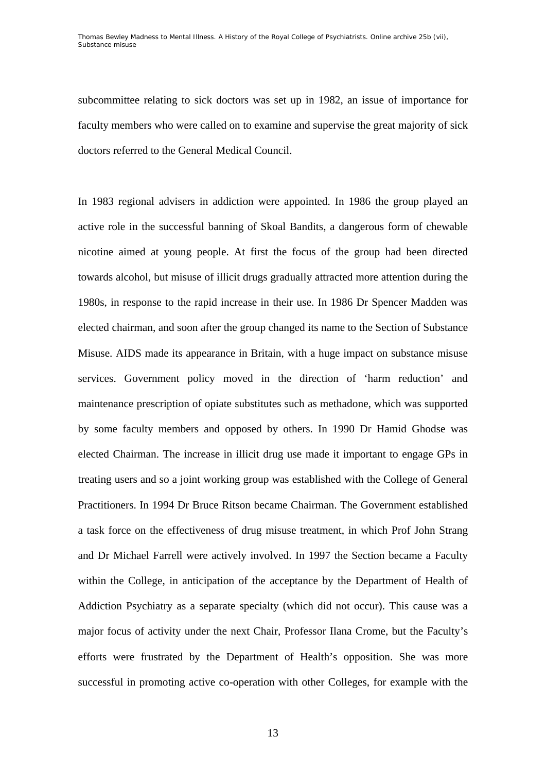subcommittee relating to sick doctors was set up in 1982, an issue of importance for faculty members who were called on to examine and supervise the great majority of sick doctors referred to the General Medical Council.

In 1983 regional advisers in addiction were appointed. In 1986 the group played an active role in the successful banning of Skoal Bandits, a dangerous form of chewable nicotine aimed at young people. At first the focus of the group had been directed towards alcohol, but misuse of illicit drugs gradually attracted more attention during the 1980s, in response to the rapid increase in their use. In 1986 Dr Spencer Madden was elected chairman, and soon after the group changed its name to the Section of Substance Misuse. AIDS made its appearance in Britain, with a huge impact on substance misuse services. Government policy moved in the direction of 'harm reduction' and maintenance prescription of opiate substitutes such as methadone, which was supported by some faculty members and opposed by others. In 1990 Dr Hamid Ghodse was elected Chairman. The increase in illicit drug use made it important to engage GPs in treating users and so a joint working group was established with the College of General Practitioners. In 1994 Dr Bruce Ritson became Chairman. The Government established a task force on the effectiveness of drug misuse treatment, in which Prof John Strang and Dr Michael Farrell were actively involved. In 1997 the Section became a Faculty within the College, in anticipation of the acceptance by the Department of Health of Addiction Psychiatry as a separate specialty (which did not occur). This cause was a major focus of activity under the next Chair, Professor Ilana Crome, but the Faculty's efforts were frustrated by the Department of Health's opposition. She was more successful in promoting active co-operation with other Colleges, for example with the